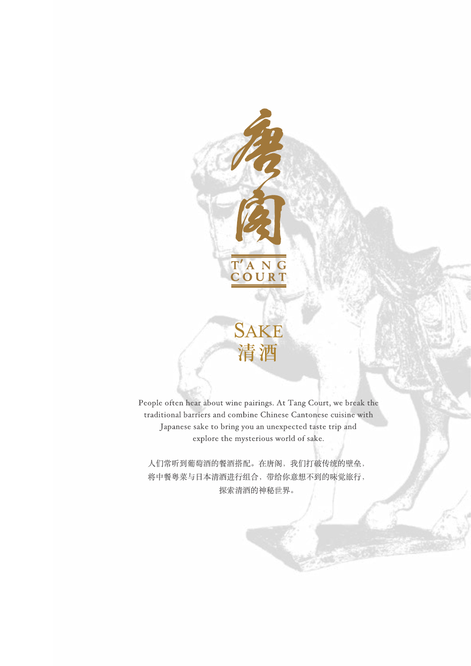

People often hear about wine pairings. At Tang Court, we break the traditional barriers and combine Chinese Cantonese cuisine with Japanese sake to bring you an unexpected taste trip and explore the mysterious world of sake.

**SAKE** 

清酒

人们常听到葡萄酒的餐酒搭配。在唐阁,我们打破传统的壁垒, 将中餐粤菜与日本清酒进行组合,带给你意想不到的味觉旅行, 探索清酒的神秘世界。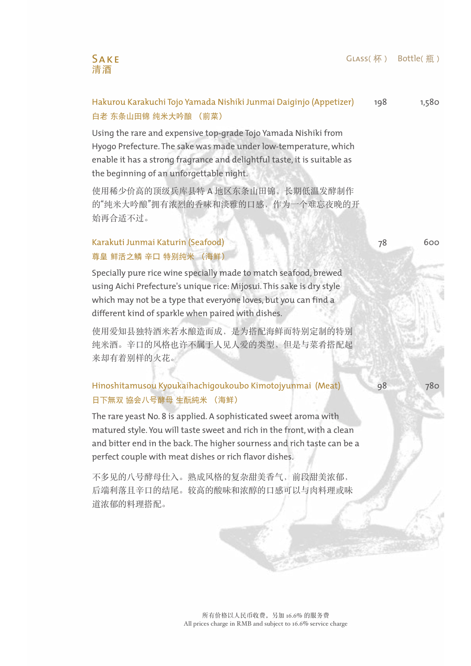### Glass(杯) Bottle(瓶)



#### Hakurou Karakuchi Tojo Yamada Nishiki Junmai Daiginjo (Appetizer) 白老 东条山田锦 纯米大吟酿 (前菜) 198

Using the rare and expensive top-grade Tojo Yamada Nishiki from Hyogo Prefecture. The sake was made under low-temperature, which enable it has a strong fragrance and delightful taste, it is suitable as the beginning of an unforgettable night.

使用稀少价高的顶级兵库县特 A 地区东条山田锦,长期低温发酵制作 的"纯米大吟酿"拥有浓烈的香味和淡雅的口感,作为一个难忘夜晚的开 始再合适不过。

## Karakuti Junmai Katurin (Seafood) 尊皇 鲜活之鳞 辛口 特别纯米 (海鲜)

Specially pure rice wine specially made to match seafood, brewed using Aichi Prefecture's unique rice: Mijosui. This sake is dry style which may not be a type that everyone loves, but you can find a different kind of sparkle when paired with dishes.

使用爱知县独特酒米若水酿造而成,是为搭配海鲜而特别定制的特别 纯米酒。辛口的风格也许不属于人见人爱的类型,但是与菜肴搭配起 来却有着别样的火花。

## Hinoshitamusou Kyoukaihachigoukoubo Kimotojyunmai (Meat) 日下無双 協会八号酵母 生酛純米 (海鲜)

The rare yeast No. 8 is applied. A sophisticated sweet aroma with matured style. You will taste sweet and rich in the front, with a clean and bitter end in the back. The higher sourness and rich taste can be a perfect couple with meat dishes or rich flavor dishes.

不多见的八号酵母仕入。熟成风格的复杂甜美香气,前段甜美浓郁, 后端利落且辛口的结尾。较高的酸味和浓醇的口感可以与肉料理或味 道浓郁的料理搭配。

1,580

600

78

98 780